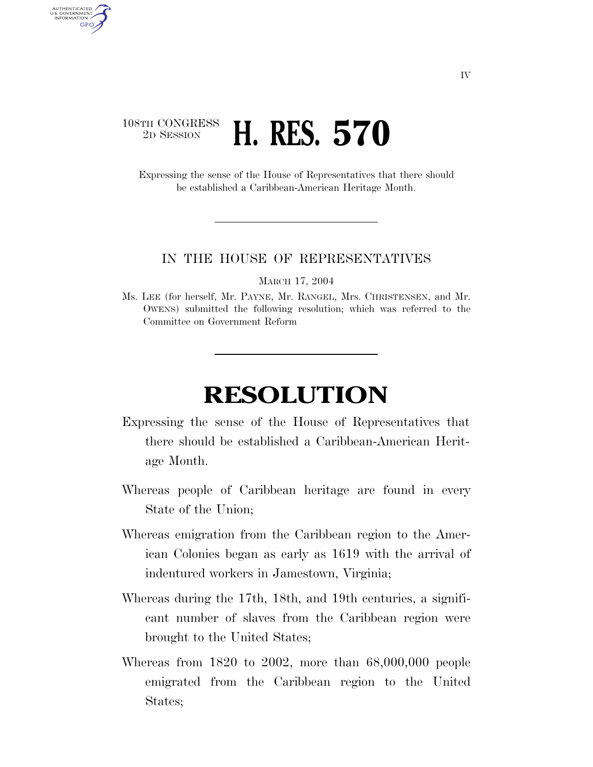## 108TH CONGRESS <sup>2D SESSION</sup> **H. RES. 570**

AUTHENTICATED U.S. GOVERNMENT **GPO** 

> Expressing the sense of the House of Representatives that there should be established a Caribbean-American Heritage Month.

## IN THE HOUSE OF REPRESENTATIVES

MARCH 17, 2004

Ms. LEE (for herself, Mr. PAYNE, Mr. RANGEL, Mrs. CHRISTENSEN, and Mr. OWENS) submitted the following resolution; which was referred to the Committee on Government Reform

## **RESOLUTION**

- Expressing the sense of the House of Representatives that there should be established a Caribbean-American Heritage Month.
- Whereas people of Caribbean heritage are found in every State of the Union;
- Whereas emigration from the Caribbean region to the American Colonies began as early as 1619 with the arrival of indentured workers in Jamestown, Virginia;
- Whereas during the 17th, 18th, and 19th centuries, a significant number of slaves from the Caribbean region were brought to the United States;
- Whereas from 1820 to 2002, more than 68,000,000 people emigrated from the Caribbean region to the United States;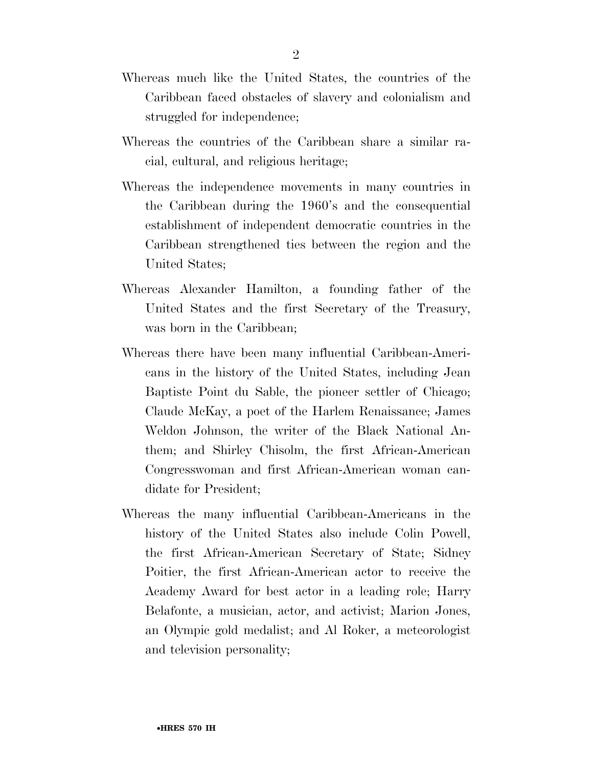- Whereas much like the United States, the countries of the Caribbean faced obstacles of slavery and colonialism and struggled for independence;
- Whereas the countries of the Caribbean share a similar racial, cultural, and religious heritage;
- Whereas the independence movements in many countries in the Caribbean during the 1960's and the consequential establishment of independent democratic countries in the Caribbean strengthened ties between the region and the United States;
- Whereas Alexander Hamilton, a founding father of the United States and the first Secretary of the Treasury, was born in the Caribbean;
- Whereas there have been many influential Caribbean-Americans in the history of the United States, including Jean Baptiste Point du Sable, the pioneer settler of Chicago; Claude McKay, a poet of the Harlem Renaissance; James Weldon Johnson, the writer of the Black National Anthem; and Shirley Chisolm, the first African-American Congresswoman and first African-American woman candidate for President;
- Whereas the many influential Caribbean-Americans in the history of the United States also include Colin Powell, the first African-American Secretary of State; Sidney Poitier, the first African-American actor to receive the Academy Award for best actor in a leading role; Harry Belafonte, a musician, actor, and activist; Marion Jones, an Olympic gold medalist; and Al Roker, a meteorologist and television personality;